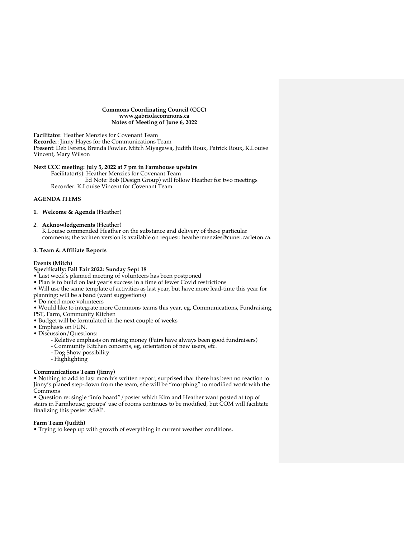#### **Commons Coordinating Council (CCC) www.gabriolacommons.ca Notes of Meeting of June 6, 2022**

**Facilitator**: Heather Menzies for Covenant Team **Recorde**r: Jinny Hayes for the Communications Team **Present**: Deb Ferens, Brenda Fowler, Mitch Miyagawa, Judith Roux, Patrick Roux, K.Louise Vincent, Mary Wilson

## **Next CCC meeting: July 5, 2022 at 7 pm in Farmhouse upstairs**

Facilitator(s): Heather Menzies for Covenant Team Ed Note: Bob (Design Group) will follow Heather for two meetings Recorder: K.Louise Vincent for Covenant Team

## **AGENDA ITEMS**

## **1. Welcome & Agenda** (Heather)

2. **Acknowledgements** (Heather)

K.Louise commended Heather on the substance and delivery of these particular comments; the written version is available on request: heathermenzies@cunet.carleton.ca.

### **3. Team & Affiliate Reports**

#### **Events (Mitch)**

# **Specifically: Fall Fair 2022: Sunday Sept 18**

- Last week's planned meeting of volunteers has been postponed
- Plan is to build on last year's success in a time of fewer Covid restrictions
- Will use the same template of activities as last year, but have more lead-time this year for
- planning; will be a band (want suggestions)
- Do need more volunteers
- Would like to integrate more Commons teams this year, eg, Communications, Fundraising,
- PST, Farm, Community Kitchen
- Budget will be formulated in the next couple of weeks
- Emphasis on FUN.
- Discussion/Questions:
	- Relative emphasis on raising money (Fairs have always been good fundraisers)
	- Community Kitchen concerns, eg, orientation of new users, etc.
	- Dog Show possibility
	- Highlighting

## **Communications Team (Jinny)**

• Nothing to add to last month's written report; surprised that there has been no reaction to Jinny's planed step-down from the team; she will be "morphing" to modified work with the **Commons** 

• Question re: single "info board"/poster which Kim and Heather want posted at top of stairs in Farmhouse; groups' use of rooms continues to be modified, but COM will facilitate finalizing this poster ASAP.

### **Farm Team (Judith)**

• Trying to keep up with growth of everything in current weather conditions.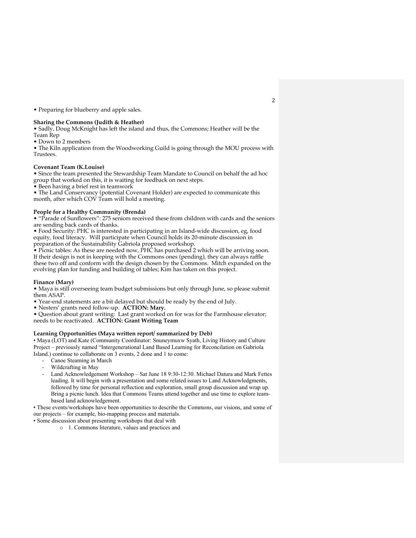• Preparing for blueberry and apple sales.

#### **Sharing the Commons (Judith & Heather)**

• Sadly, Doug McKnight has left the island and thus, the Commons; Heather will be the Team Rep

• Down to 2 members

• The Kiln application from the Woodworking Guild is going through the MOU process with Trustees.

### **Covenant Team (K.Louise)**

• Since the team presented the Stewardship Team Mandate to Council on behalf the ad hoc group that worked on this, it is waiting for feedback on next steps.

• Been having a brief rest in teamwork

• The Land Conservancy (potential Covenant Holder) are expected to communicate this month, after which COV Team will hold a meeting.

#### **People for a Healthy Community (Brenda)**

• "Parade of Sunflowers": 275 seniors received these from children with cards and the seniors are sending back cards of thanks.

• Food Security: PHC is interested in participating in an Island-wide discussion, eg, food equity, food literacy. Will participate when Council holds its 20-minute discussion in preparation of the Sustainability Gabriola proposed workshop.

• Picnic tables: As these are needed now,  $\hat{P}H\hat{C}$  has purchased 2 which will be arriving soon. If their design is not in keeping with the Commons ones (pending), they can always raffle these two off and conform with the design chosen by the Commons. Mitch expanded on the evolving plan for funding and building of tables; Kim has taken on this project.

#### **Finance (Mary)**

• Maya is still overseeing team budget submissions but only through June, so please submit them ASAP.

• Year-end statements are a bit delayed but should be ready by the end of July.

• Nesters' grants need follow-up. **ACTION: Mary.**

• Question about grant writing: Last grant worked on for was for the Farmhouse elevator; needs to be reactivated. **ACTION: Grant Writing Team**

#### **Learning Opportunities (Maya written report/ summarized by Deb)**

• Maya (LOT) and Kate (Community Coordinator: Snuneymuxw Syath, Living History and Culture Project – previously named "Intergenerational Land Based Learning for Reconcilation on Gabriola Island.) continue to collaborate on 3 events, 2 done and 1 to come:

- Canoe Steaming in March
- Wildcrafting in May
- Land Acknowledgement Workshop Sat June 18 9:30-12:30. Michael Datura and Mark Fettes leading. It will begin with a presentation and some related issues to Land Acknowledgments, followed by time for personal reflection and exploration, small group discussion and wrap up. Bring a picnic lunch. Idea that Commons Teams attend together and use time to explore teambased land acknowledgement.

• These events/workshops have been opportunities to describe the Commons, our visions, and some of our projects – for example, bio-mapping process and materials.

• Some discussion about presenting workshops that deal with

o 1. Commons literature, values and practices and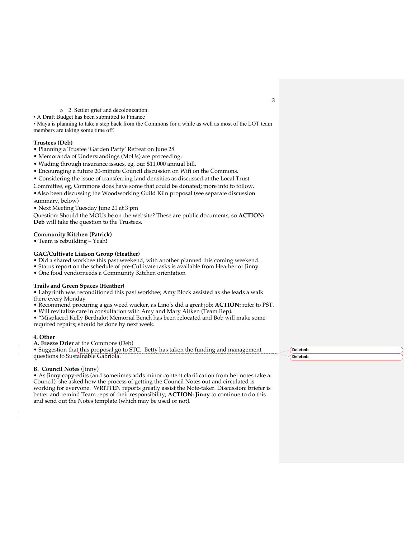o 2. Settler grief and decolonization.

• A Draft Budget has been submitted to Finance

• Maya is planning to take a step back from the Commons for a while as well as most of the LOT team members are taking some time off.

### **Trustees (Deb)**

- Planning a Trustee 'Garden Party' Retreat on June 28
- Memoranda of Understandings (MoUs) are proceeding.
- Wading through insurance issues, eg, our \$11,000 annual bill.
- Encouraging a future 20-minute Council discussion on Wifi on the Commons.
- Considering the issue of transferring land densities as discussed at the Local Trust

Committee, eg, Commons does have some that could be donated; more info to follow. •Also been discussing the Woodworking Guild Kiln proposal (see separate discussion

summary, below)

• Next Meeting Tuesday June 21 at 3 pm

Question: Should the MOUs be on the website? These are public documents, so **ACTION: Deb** will take the question to the Trustees.

#### **Community Kitchen (Patrick)**

• Team is rebuilding – Yeah!

#### **GAC/Cultivate Liaison Group (Heather)**

• Did a shared workbee this past weekend, with another planned this coming weekend.

• Status report on the schedule of pre-Cultivate tasks is available from Heather or Jinny.

• One food vendorneeds a Community Kitchen orientation

#### **Trails and Green Spaces (Heather)**

• Labyrinth was reconditioned this past workbee; Amy Block assisted as she leads a walk there every Monday

• Recommend procuring a gas weed wacker, as Lino's did a great job; **ACTION:** refer to PST.

• Will revitalize care in consultation with Amy and Mary Aitken (Team Rep).

• "Misplaced Kelly Berthalot Memorial Bench has been relocated and Bob will make some required repairs; should be done by next week.

#### **4. Other**

**A. Freeze Drier** at the Commons (Deb)

• Suggestion that this proposal go to STC. Betty has taken the funding and management questions to Sustainable Gabriola.

#### **B. Council Notes** (Jinny)

• As Jinny copy-edits (and sometimes adds minor content clarification from her notes take at Council), she asked how the process of getting the Council Notes out and circulated is working for everyone. WRITTEN reports greatly assist the Note-taker. Discussion: briefer is better and remind Team reps of their responsibility; **ACTION: Jinny** to continue to do this and send out the Notes template (which may be used or not).

**Deleted: Deleted:** 

3